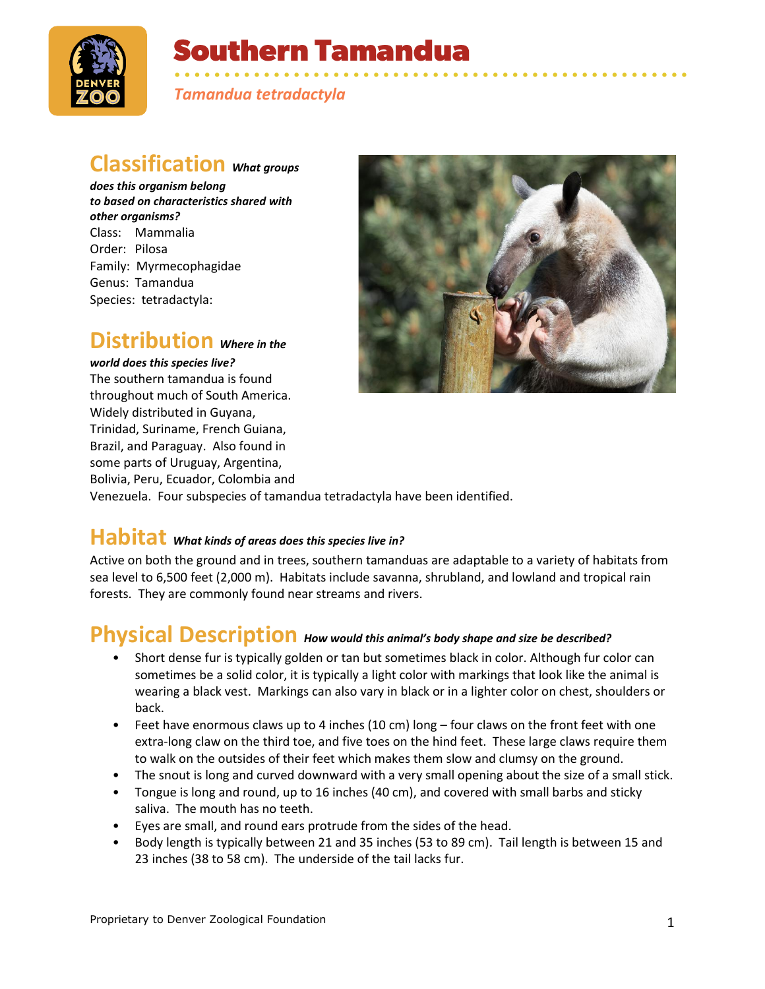

# **Southern Tamandua**

• • • • • • • • • • • • • • • • • • • • • • • • • • • • • • • • • • • • • • • • • • • • • • • • • • • • *Tamandua tetradactyla*

### **Classification** *What groups*

*does this organism belong to based on characteristics shared with other organisms?* Class: Mammalia Order: Pilosa Family: Myrmecophagidae Genus: Tamandua Species: tetradactyla:

### **Distribution** *Where in the*

#### *world does this species live?*

The southern tamandua is found throughout much of South America. Widely distributed in Guyana, Trinidad, Suriname, French Guiana, Brazil, and Paraguay. Also found in some parts of Uruguay, Argentina, Bolivia, Peru, Ecuador, Colombia and



Venezuela. Four subspecies of tamandua tetradactyla have been identified.

# **Habitat** *What kinds of areas does this species live in?*

Active on both the ground and in trees, southern tamanduas are adaptable to a variety of habitats from sea level to 6,500 feet (2,000 m). Habitats include savanna, shrubland, and lowland and tropical rain forests. They are commonly found near streams and rivers.

### **Physical Description** *How would this animal's body shape and size be described?*

- Short dense fur is typically golden or tan but sometimes black in color. Although fur color can sometimes be a solid color, it is typically a light color with markings that look like the animal is wearing a black vest. Markings can also vary in black or in a lighter color on chest, shoulders or back.
- Feet have enormous claws up to 4 inches (10 cm) long four claws on the front feet with one extra-long claw on the third toe, and five toes on the hind feet. These large claws require them to walk on the outsides of their feet which makes them slow and clumsy on the ground.
- The snout is long and curved downward with a very small opening about the size of a small stick.
- Tongue is long and round, up to 16 inches (40 cm), and covered with small barbs and sticky saliva. The mouth has no teeth.
- Eyes are small, and round ears protrude from the sides of the head.
- Body length is typically between 21 and 35 inches (53 to 89 cm). Tail length is between 15 and 23 inches (38 to 58 cm). The underside of the tail lacks fur.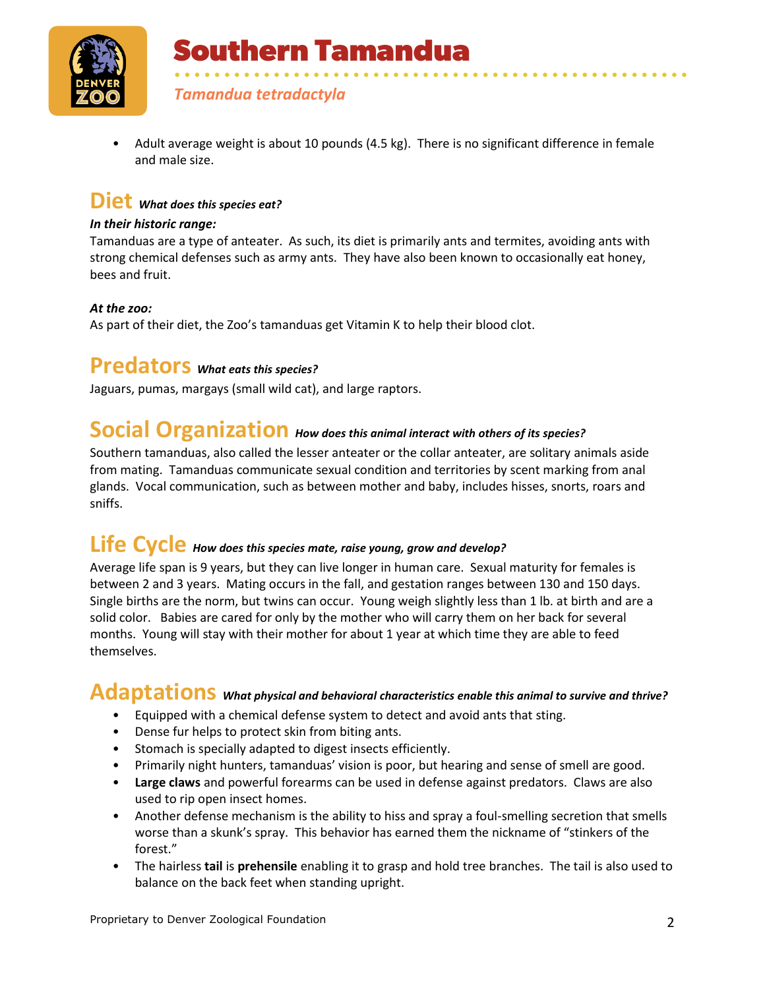

**Southern Tamandua** 

*Tamandua tetradactyla*

• Adult average weight is about 10 pounds (4.5 kg). There is no significant difference in female and male size.

• • • • • • • • • • • • • • • • • • • • • • • • • • • • • • • • • • • • • • • • • • • • • • • • • • • •

### **Diet** *What does this species eat?*

#### *In their historic range:*

Tamanduas are a type of anteater. As such, its diet is primarily ants and termites, avoiding ants with strong chemical defenses such as army ants. They have also been known to occasionally eat honey, bees and fruit.

#### *At the zoo:*

As part of their diet, the Zoo's tamanduas get Vitamin K to help their blood clot.

### **Predators** *What eats this species?*

Jaguars, pumas, margays (small wild cat), and large raptors.

# **Social Organization** *How does this animal interact with others of its species?*

Southern tamanduas, also called the lesser anteater or the collar anteater, are solitary animals aside from mating. Tamanduas communicate sexual condition and territories by scent marking from anal glands. Vocal communication, such as between mother and baby, includes hisses, snorts, roars and sniffs.

### **Life Cycle** *How does this species mate, raise young, grow and develop?*

Average life span is 9 years, but they can live longer in human care. Sexual maturity for females is between 2 and 3 years. Mating occurs in the fall, and gestation ranges between 130 and 150 days. Single births are the norm, but twins can occur. Young weigh slightly less than 1 lb. at birth and are a solid color. Babies are cared for only by the mother who will carry them on her back for several months. Young will stay with their mother for about 1 year at which time they are able to feed themselves.

### **Adaptations** *What physical and behavioral characteristics enable this animal to survive and thrive?*

- Equipped with a chemical defense system to detect and avoid ants that sting.
- Dense fur helps to protect skin from biting ants.
- Stomach is specially adapted to digest insects efficiently.
- Primarily night hunters, tamanduas' vision is poor, but hearing and sense of smell are good.
- **Large claws** and powerful forearms can be used in defense against predators. Claws are also used to rip open insect homes.
- Another defense mechanism is the ability to hiss and spray a foul-smelling secretion that smells worse than a skunk's spray. This behavior has earned them the nickname of "stinkers of the forest."
- The hairless **tail** is **prehensile** enabling it to grasp and hold tree branches. The tail is also used to balance on the back feet when standing upright.